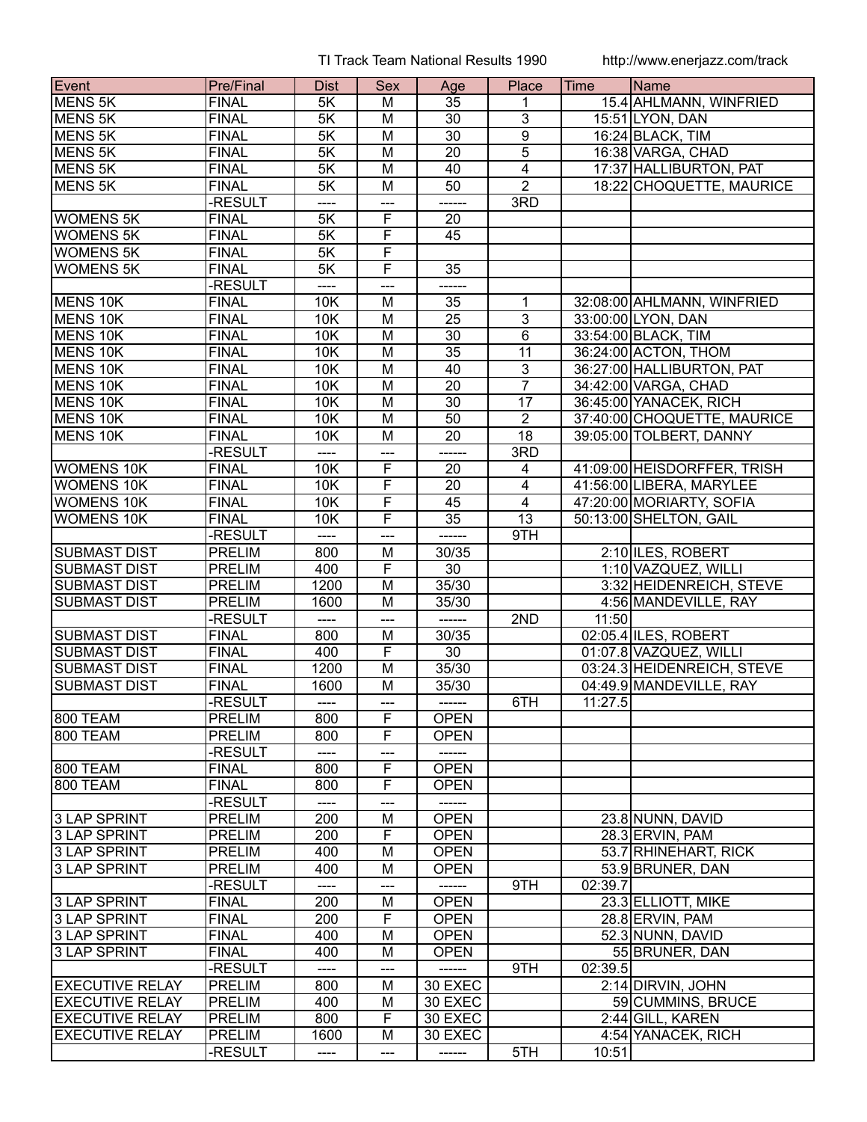TI Track Team National Results 1990 http://www.enerjazz.com/track

| Event                  | <b>Pre/Final</b> | <b>Dist</b>           | <b>Sex</b>              | Age             | Place                            | Time    | Name                        |
|------------------------|------------------|-----------------------|-------------------------|-----------------|----------------------------------|---------|-----------------------------|
| <b>MENS 5K</b>         | <b>FINAL</b>     | 5K                    | м                       | 35              | 1                                |         | 15.4 AHLMANN, WINFRIED      |
| <b>MENS 5K</b>         | <b>FINAL</b>     | 5K                    | M                       | 30              | $\overline{3}$                   |         | 15:51 LYON, DAN             |
| <b>MENS 5K</b>         | <b>FINAL</b>     | 5K                    | M                       | $\overline{30}$ | $\overline{9}$                   |         | 16:24 BLACK, TIM            |
| MENS <sub>5K</sub>     | <b>FINAL</b>     | 5K                    | M                       | $\overline{20}$ | $\overline{5}$                   |         | 16:38 VARGA, CHAD           |
| <b>MENS 5K</b>         | <b>FINAL</b>     | 5K                    | M                       | 40              | $\overline{4}$                   |         | 17:37 HALLIBURTON, PAT      |
| <b>MENS 5K</b>         | <b>FINAL</b>     | 5K                    | $\overline{\mathsf{M}}$ | 50              | $\overline{2}$                   |         | 18:22 CHOQUETTE, MAURICE    |
|                        | -RESULT          | ----                  | ---                     | ------          | 3RD                              |         |                             |
| <b>WOMENS 5K</b>       | <b>FINAL</b>     | 5K                    | F                       | 20              |                                  |         |                             |
| <b>WOMENS 5K</b>       | <b>FINAL</b>     | 5K                    | F                       | 45              |                                  |         |                             |
| <b>WOMENS 5K</b>       | <b>FINAL</b>     | $\overline{5K}$       | $\overline{\mathsf{F}}$ |                 |                                  |         |                             |
| <b>WOMENS 5K</b>       | <b>FINAL</b>     | $\overline{5K}$       | F                       | 35              |                                  |         |                             |
|                        | <b>RESULT</b>    |                       | ---                     |                 |                                  |         |                             |
| MENS 10K               | <b>FINAL</b>     | 10K                   | M                       | 35              | 1                                |         | 32:08:00 AHLMANN, WINFRIED  |
| <b>MENS 10K</b>        | <b>FINAL</b>     | 10K                   | M                       | 25              | $\overline{3}$                   |         | 33:00:00 LYON, DAN          |
| MENS 10K               | <b>FINAL</b>     | 10K                   | $\overline{M}$          | $\overline{30}$ | $\overline{6}$                   |         | 33:54:00 BLACK, TIM         |
| MENS 10K               | <b>FINAL</b>     | 10K                   | M                       | $\overline{35}$ | 11                               |         | 36:24:00 ACTON, THOM        |
| MENS 10K               | <b>FINAL</b>     | 10K                   | M                       | 40              | $\overline{3}$                   |         | 36:27:00 HALLIBURTON, PAT   |
| MENS 10K               | <b>FINAL</b>     | 10K                   | $\overline{M}$          | $\overline{20}$ | $\overline{7}$                   |         |                             |
|                        | <b>FINAL</b>     |                       |                         |                 |                                  |         | 34:42:00 VARGA, CHAD        |
| MENS 10K<br>MENS 10K   | <b>FINAL</b>     | 10K                   | M<br>$\overline{M}$     | 30<br>50        | 17<br>$\overline{2}$             |         | 36:45:00 YANACEK, RICH      |
| MENS 10K               | <b>FINAL</b>     | 10K<br>10K            |                         | $\overline{20}$ |                                  |         | 37:40:00 CHOQUETTE, MAURICE |
|                        | -RESULT          |                       | M                       | ------          | 18                               |         | 39:05:00 TOLBERT, DANNY     |
| <b>WOMENS 10K</b>      | <b>FINAL</b>     | ----<br>10K           | ---<br>F                | 20              | 3RD<br>4                         |         | 41:09:00 HEISDORFFER, TRISH |
| <b>WOMENS 10K</b>      | <b>FINAL</b>     | 10K                   | $\overline{F}$          | 20              |                                  |         | 41:56:00 LIBERA, MARYLEE    |
| <b>WOMENS 10K</b>      | <b>FINAL</b>     | 10K                   | F                       | 45              | $\overline{4}$<br>$\overline{4}$ |         | 47:20:00 MORIARTY, SOFIA    |
| <b>WOMENS 10K</b>      | <b>FINAL</b>     | 10K                   | F                       | $\overline{35}$ | 13                               |         | 50:13:00 SHELTON, GAIL      |
|                        | -RESULT          | $\qquad \qquad - - -$ | ---                     | ------          | 9TH                              |         |                             |
| <b>SUBMAST DIST</b>    | <b>PRELIM</b>    | 800                   | M                       | 30/35           |                                  |         | 2:10 ILES, ROBERT           |
| <b>SUBMAST DIST</b>    | <b>PRELIM</b>    | 400                   | $\overline{\mathsf{F}}$ | $\overline{30}$ |                                  |         | 1:10 VAZQUEZ, WILLI         |
| <b>SUBMAST DIST</b>    | <b>PRELIM</b>    | 1200                  | M                       | 35/30           |                                  |         | 3:32 HEIDENREICH, STEVE     |
| <b>SUBMAST DIST</b>    | <b>PRELIM</b>    | 1600                  | $\overline{\mathsf{M}}$ | 35/30           |                                  |         | 4:56 MANDEVILLE, RAY        |
|                        | -RESULT          | ----                  | ---                     | ------          | 2ND                              | 11:50   |                             |
| <b>SUBMAST DIST</b>    | <b>FINAL</b>     | 800                   | M                       | 30/35           |                                  |         | 02:05.4 ILES, ROBERT        |
| <b>SUBMAST DIST</b>    | <b>FINAL</b>     | 400                   | F                       | 30              |                                  |         | 01:07.8 VAZQUEZ, WILLI      |
| <b>SUBMAST DIST</b>    | <b>FINAL</b>     | 1200                  | M                       | 35/30           |                                  |         | 03:24.3 HEIDENREICH, STEVE  |
| <b>SUBMAST DIST</b>    | <b>FINAL</b>     | 1600                  | M                       | 35/30           |                                  |         | 04:49.9 MANDEVILLE, RAY     |
|                        | -RESULT          | ----                  | $---$                   | ------          | 6TH                              | 11:27.5 |                             |
| 800 TEAM               | <b>PRELIM</b>    | 800                   | F                       | <b>OPEN</b>     |                                  |         |                             |
| 800 TEAM               | <b>PRELIM</b>    | 800                   | $\overline{F}$          | <b>OPEN</b>     |                                  |         |                             |
|                        | -RESULT          | ----                  | ---                     |                 |                                  |         |                             |
| <b>800 TEAM</b>        | <b>FINAL</b>     | 800                   | F                       | <b>OPEN</b>     |                                  |         |                             |
| 800 TEAM               | <b>FINAL</b>     | 800                   | $\overline{F}$          | <b>OPEN</b>     |                                  |         |                             |
|                        | <b>RESULT</b>    |                       | ---                     |                 |                                  |         |                             |
| 3 LAP SPRINT           | <b>PRELIM</b>    | 200                   | M                       | <b>OPEN</b>     |                                  |         | 23.8 NUNN, DAVID            |
| 3 LAP SPRINT           | <b>PRELIM</b>    | 200                   | F                       | <b>OPEN</b>     |                                  |         | 28.3 ERVIN, PAM             |
| <b>3 LAP SPRINT</b>    | <b>PRELIM</b>    | 400                   | M                       | <b>OPEN</b>     |                                  |         | 53.7 RHINEHART, RICK        |
| 3 LAP SPRINT           | <b>PRELIM</b>    | 400                   | M                       | <b>OPEN</b>     |                                  |         | 53.9 BRUNER, DAN            |
|                        | -RESULT          | ----                  | ---                     | ------          | 9TH                              | 02:39.7 |                             |
| 3 LAP SPRINT           | <b>FINAL</b>     | 200                   | M                       | <b>OPEN</b>     |                                  |         | 23.3 ELLIOTT, MIKE          |
| 3 LAP SPRINT           | <b>FINAL</b>     | 200                   | F                       | <b>OPEN</b>     |                                  |         | 28.8 ERVIN, PAM             |
| 3 LAP SPRINT           | <b>FINAL</b>     | 400                   | M                       | <b>OPEN</b>     |                                  |         | 52.3 NUNN, DAVID            |
| 3 LAP SPRINT           | <b>FINAL</b>     | 400                   | M                       | <b>OPEN</b>     |                                  |         | 55 BRUNER, DAN              |
|                        | -RESULT          | ----                  | ---                     |                 | 9TH                              | 02:39.5 |                             |
| <b>EXECUTIVE RELAY</b> | <b>PRELIM</b>    | 800                   | M                       | 30 EXEC         |                                  |         | 2:14 DIRVIN, JOHN           |
| <b>EXECUTIVE RELAY</b> | <b>PRELIM</b>    | 400                   | M                       | 30 EXEC         |                                  |         | 59 CUMMINS, BRUCE           |
| <b>EXECUTIVE RELAY</b> | <b>PRELIM</b>    | 800                   | F                       | 30 EXEC         |                                  |         | 2:44 GILL, KAREN            |
| <b>EXECUTIVE RELAY</b> | <b>PRELIM</b>    | 1600                  | M                       | 30 EXEC         |                                  |         | 4:54 YANACEK, RICH          |
|                        | -RESULT          | ----                  | ---                     | ------          | 5TH                              | 10:51   |                             |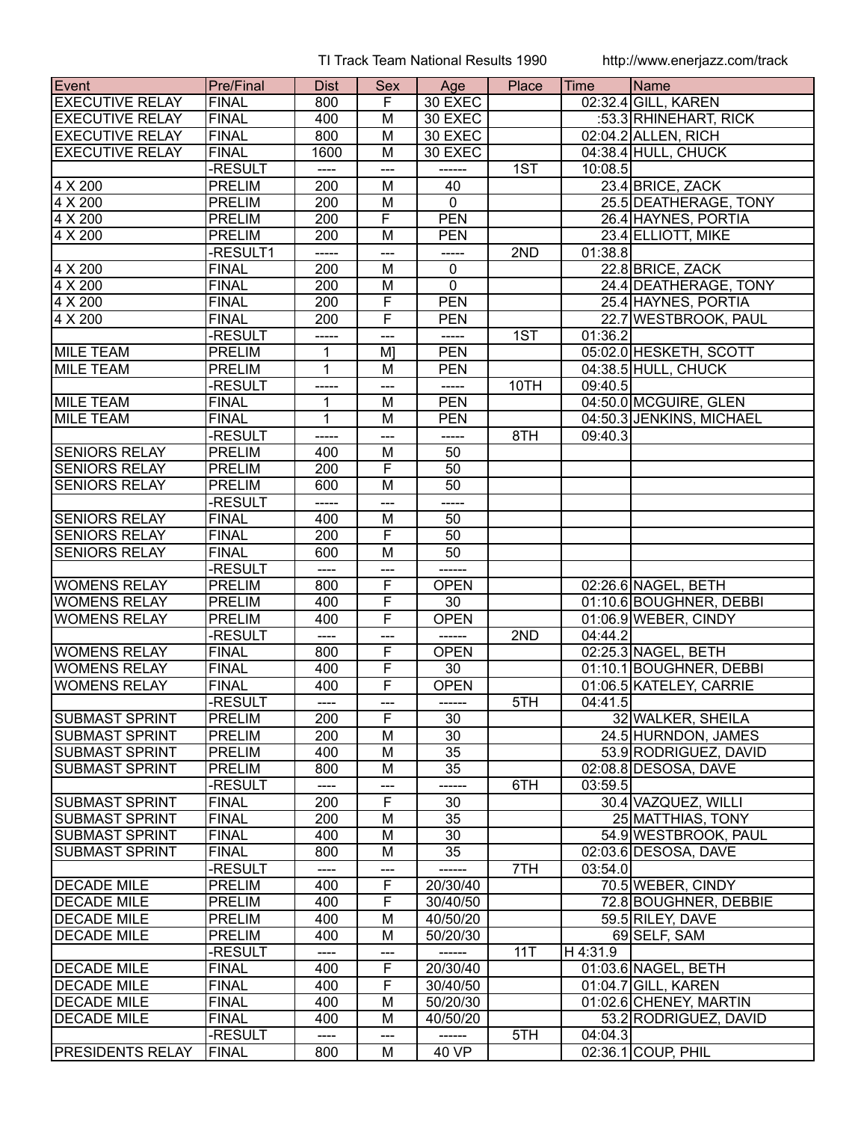TI Track Team National Results 1990 http://www.enerjazz.com/track

| <b>Event</b>            | <b>Pre/Final</b> | <b>Dist</b>      | <b>Sex</b>              | Age            | Place | Time     | <b>IName</b>             |
|-------------------------|------------------|------------------|-------------------------|----------------|-------|----------|--------------------------|
| <b>EXECUTIVE RELAY</b>  | FINAL            | 800              | F.                      | 30 EXEC        |       |          | 02:32.4 GILL, KAREN      |
| <b>EXECUTIVE RELAY</b>  | <b>FINAL</b>     | 400              | M                       | 30 EXEC        |       |          | :53.3 RHINEHART, RICK    |
| <b>EXECUTIVE RELAY</b>  | <b>FINAL</b>     | 800              | M                       | 30 EXEC        |       |          | $02:04.2$ ALLEN, RICH    |
| <b>EXECUTIVE RELAY</b>  | <b>FINAL</b>     | 1600             | M                       | 30 EXEC        |       |          | 04:38.4 HULL, CHUCK      |
|                         | -RESULT          | ----             | ---                     | ------         | 1ST   | 10:08.5  |                          |
| 4 X 200                 | <b>PRELIM</b>    | 200              | M                       | 40             |       |          | 23.4 BRICE, ZACK         |
| 4 X 200                 | <b>PRELIM</b>    | $\overline{200}$ | M                       | $\overline{0}$ |       |          | 25.5 DEATHERAGE, TONY    |
| 4 X 200                 | <b>PRELIM</b>    | 200              | F                       | <b>PEN</b>     |       |          | 26.4 HAYNES, PORTIA      |
| 4 X 200                 | <b>PRELIM</b>    | 200              | M                       | <b>PEN</b>     |       |          | 23.4 ELLIOTT, MIKE       |
|                         | -RESULT1         | -----            | ---                     | -----          | 2ND   | 01:38.8  |                          |
| 4 X 200                 | <b>FINAL</b>     | 200              | M                       | $\mathbf 0$    |       |          | 22.8 BRICE, ZACK         |
| 4 X 200                 | <b>FINAL</b>     | 200              | $\overline{M}$          | $\overline{0}$ |       |          | 24.4 DEATHERAGE, TONY    |
|                         |                  |                  | $\overline{\mathsf{F}}$ | <b>PEN</b>     |       |          |                          |
| 4 X 200                 | <b>FINAL</b>     | 200              | $\overline{\mathsf{F}}$ |                |       |          | 25.4 HAYNES, PORTIA      |
| 4 X 200                 | <b>FINAL</b>     | 200              |                         | <b>PEN</b>     |       |          | 22.7 WESTBROOK, PAUL     |
|                         | -RESULT          | -----            | ---                     | -----          | 1ST   | 01:36.2  |                          |
| MILE TEAM               | <b>PRELIM</b>    | $\mathbf{1}$     | M <sub>l</sub>          | <b>PEN</b>     |       |          | 05:02.0 HESKETH, SCOTT   |
| <b>MILE TEAM</b>        | <b>PRELIM</b>    | $\mathbf{1}$     | M                       | <b>PEN</b>     |       |          | 04:38.5 HULL, CHUCK      |
|                         | -RESULT          | -----            | $---$                   | -----          | 10TH  | 09:40.5  |                          |
| MILE TEAM               | <b>FINAL</b>     | $\mathbf{1}$     | M                       | <b>PEN</b>     |       |          | 04:50.0 MCGUIRE, GLEN    |
| <b>MILE TEAM</b>        | <b>FINAL</b>     | $\overline{1}$   | $\overline{M}$          | <b>PEN</b>     |       |          | 04:50.3 JENKINS, MICHAEL |
|                         | -RESULT          | -----            | ---                     | -----          | 8TH   | 09:40.3  |                          |
| <b>SENIORS RELAY</b>    | <b>PRELIM</b>    | 400              | M                       | 50             |       |          |                          |
| <b>SENIORS RELAY</b>    | <b>PRELIM</b>    | 200              | F                       | 50             |       |          |                          |
| <b>SENIORS RELAY</b>    | <b>PRELIM</b>    | 600              | M                       | 50             |       |          |                          |
|                         | -RESULT          | -----            | ---                     | -----          |       |          |                          |
| <b>SENIORS RELAY</b>    | FINAL            | 400              | M                       | 50             |       |          |                          |
| <b>SENIORS RELAY</b>    | <b>FINAL</b>     | 200              | F                       | 50             |       |          |                          |
| <b>SENIORS RELAY</b>    | <b>FINAL</b>     | 600              | M                       | 50             |       |          |                          |
|                         | -RESULT          | ----             | ---                     | ------         |       |          |                          |
| <b>WOMENS RELAY</b>     | <b>PRELIM</b>    | 800              | F                       | <b>OPEN</b>    |       |          | 02:26.6 NAGEL, BETH      |
| <b>WOMENS RELAY</b>     | <b>PRELIM</b>    | 400              | $\overline{\mathsf{F}}$ | 30             |       |          | 01:10.6 BOUGHNER, DEBBI  |
| <b>WOMENS RELAY</b>     | <b>PRELIM</b>    | 400              | F                       | <b>OPEN</b>    |       |          | 01:06.9 WEBER, CINDY     |
|                         | -RESULT          | ----             | ---                     |                | 2ND   | 04:44.2  |                          |
| <b>WOMENS RELAY</b>     | <b>FINAL</b>     | 800              | F                       | <b>OPEN</b>    |       |          | 02:25.3 NAGEL, BETH      |
| <b>WOMENS RELAY</b>     | <b>FINAL</b>     | 400              | F                       | 30             |       |          | 01:10.1 BOUGHNER, DEBBI  |
| <b>WOMENS RELAY</b>     | <b>FINAL</b>     | 400              | F                       | <b>OPEN</b>    |       |          | 01:06.5 KATELEY, CARRIE  |
|                         | -RESULT          | $---$            | $---$                   | ------         | 5TH   | 04:41.5  |                          |
| <b>SUBMAST SPRINT</b>   | <b>PRELIM</b>    | 200              | F                       | 30             |       |          | 32 WALKER, SHEILA        |
| <b>SUBMAST SPRINT</b>   | <b>PRELIM</b>    | 200              | M                       | 30             |       |          | 24.5 HURNDON, JAMES      |
| <b>SUBMAST SPRINT</b>   | <b>PRELIM</b>    | 400              | M                       | 35             |       |          | 53.9 RODRIGUEZ, DAVID    |
| <b>SUBMAST SPRINT</b>   | <b>PRELIM</b>    | 800              | M                       | 35             |       |          | 02:08.8 DESOSA, DAVE     |
|                         | -RESULT          |                  |                         |                | 6TH   | 03:59.5  |                          |
| <b>SUBMAST SPRINT</b>   | <b>FINAL</b>     | 200              | $\overline{\mathsf{F}}$ | 30             |       |          | 30.4 VAZQUEZ, WILLI      |
| <b>SUBMAST SPRINT</b>   | <b>FINAL</b>     | 200              | M                       | 35             |       |          | 25 MATTHIAS, TONY        |
| SUBMAST SPRINT          | <b>FINAL</b>     | 400              | M                       | 30             |       |          | 54.9 WESTBROOK, PAUL     |
| <b>SUBMAST SPRINT</b>   | <b>FINAL</b>     | 800              | M                       | 35             |       |          | 02:03.6 DESOSA, DAVE     |
|                         | -RESULT          | ----             |                         |                | 7TH   | 03:54.0  |                          |
| <b>DECADE MILE</b>      | <b>PRELIM</b>    | 400              | F                       | 20/30/40       |       |          | 70.5 WEBER, CINDY        |
| <b>DECADE MILE</b>      | <b>PRELIM</b>    | 400              | F                       | 30/40/50       |       |          | 72.8 BOUGHNER, DEBBIE    |
| <b>DECADE MILE</b>      | <b>PRELIM</b>    | 400              | M                       | 40/50/20       |       |          | 59.5 RILEY, DAVE         |
| <b>DECADE MILE</b>      | <b>PRELIM</b>    | 400              | M                       | 50/20/30       |       |          | 69 SELF, SAM             |
|                         |                  |                  |                         |                |       |          |                          |
|                         | -RESULT          | ----             | ---                     | ------         | 11T   | H 4:31.9 |                          |
| <b>DECADE MILE</b>      | <b>FINAL</b>     | 400              | F                       | 20/30/40       |       |          | 01:03.6 NAGEL, BETH      |
| <b>DECADE MILE</b>      | <b>FINAL</b>     | 400              | F                       | 30/40/50       |       |          | 01:04.7 GILL, KAREN      |
| <b>DECADE MILE</b>      | <b>FINAL</b>     | 400              | M                       | 50/20/30       |       |          | 01:02.6 CHENEY, MARTIN   |
| <b>DECADE MILE</b>      | <b>FINAL</b>     | 400              | M                       | 40/50/20       |       |          | 53.2 RODRIGUEZ, DAVID    |
|                         | -RESULT          | ----             |                         | ------         | 5TH   | 04:04.3  |                          |
| <b>PRESIDENTS RELAY</b> | FINAL            | 800              | M                       | 40 VP          |       |          | 02:36.1 COUP, PHIL       |